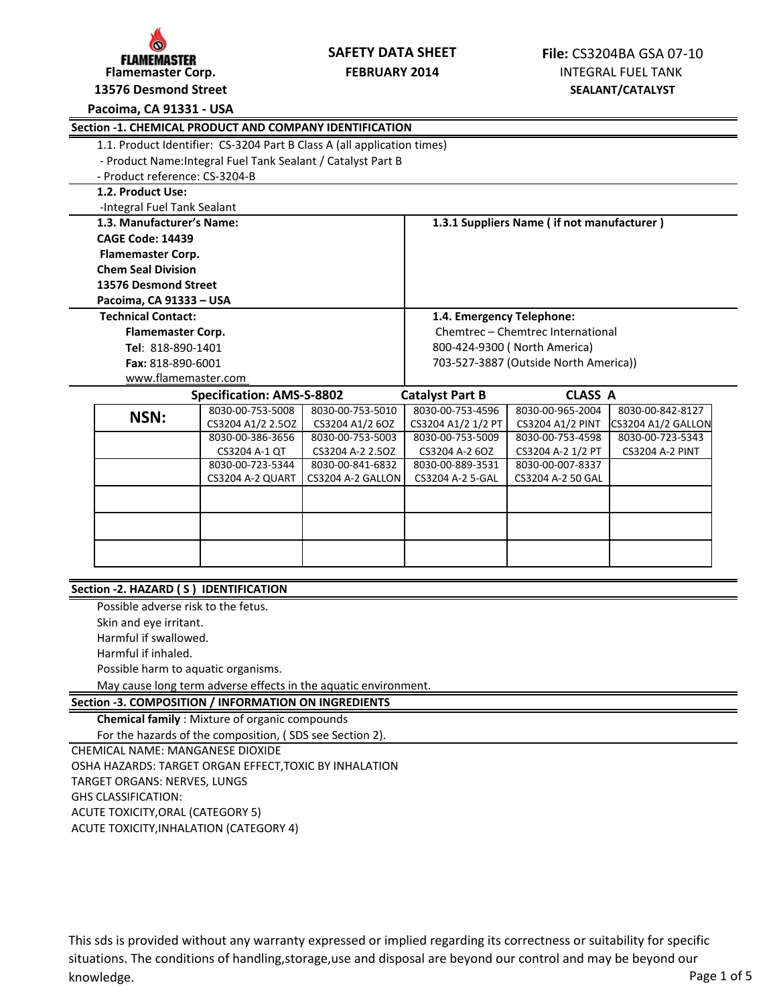

# **SAFETY DATA SHEET**

**13576 Desmond Street**

# **Pacoima, CA 91331 - USA**

| Section -1. CHEMICAL PRODUCT AND COMPANY IDENTIFICATION |                                                                         |                   |                                       |                                            |                        |  |
|---------------------------------------------------------|-------------------------------------------------------------------------|-------------------|---------------------------------------|--------------------------------------------|------------------------|--|
|                                                         | 1.1. Product Identifier: CS-3204 Part B Class A (all application times) |                   |                                       |                                            |                        |  |
|                                                         | - Product Name: Integral Fuel Tank Sealant / Catalyst Part B            |                   |                                       |                                            |                        |  |
| - Product reference: CS-3204-B                          |                                                                         |                   |                                       |                                            |                        |  |
| 1.2. Product Use:                                       |                                                                         |                   |                                       |                                            |                        |  |
| -Integral Fuel Tank Sealant                             |                                                                         |                   |                                       |                                            |                        |  |
|                                                         | 1.3. Manufacturer's Name:                                               |                   |                                       | 1.3.1 Suppliers Name (if not manufacturer) |                        |  |
| <b>CAGE Code: 14439</b>                                 |                                                                         |                   |                                       |                                            |                        |  |
| <b>Flamemaster Corp.</b>                                |                                                                         |                   |                                       |                                            |                        |  |
| <b>Chem Seal Division</b>                               |                                                                         |                   |                                       |                                            |                        |  |
|                                                         | 13576 Desmond Street                                                    |                   |                                       |                                            |                        |  |
| Pacoima, CA 91333 - USA                                 |                                                                         |                   |                                       |                                            |                        |  |
| <b>Technical Contact:</b>                               |                                                                         |                   | 1.4. Emergency Telephone:             |                                            |                        |  |
| <b>Flamemaster Corp.</b>                                |                                                                         |                   | Chemtrec - Chemtrec International     |                                            |                        |  |
|                                                         | Tel: 818-890-1401                                                       |                   | 800-424-9300 (North America)          |                                            |                        |  |
|                                                         | Fax: 818-890-6001                                                       |                   | 703-527-3887 (Outside North America)) |                                            |                        |  |
|                                                         | www.flamemaster.com                                                     |                   |                                       |                                            |                        |  |
|                                                         | <b>Specification: AMS-S-8802</b><br><b>Catalyst Part B</b>              |                   |                                       | <b>CLASS A</b>                             |                        |  |
| NSN:                                                    | 8030-00-753-5008                                                        | 8030-00-753-5010  | 8030-00-753-4596                      | 8030-00-965-2004                           | 8030-00-842-8127       |  |
|                                                         | CS3204 A1/2 2.5OZ                                                       | CS3204 A1/2 6OZ   | CS3204 A1/2 1/2 PT                    | <b>CS3204 A1/2 PINT</b>                    | CS3204 A1/2 GALLON     |  |
|                                                         | 8030-00-386-3656                                                        | 8030-00-753-5003  | 8030-00-753-5009                      | 8030-00-753-4598                           | 8030-00-723-5343       |  |
|                                                         | CS3204 A-1 QT                                                           | CS3204 A-2 2.5OZ  | CS3204 A-2 6OZ                        | CS3204 A-2 1/2 PT                          | <b>CS3204 A-2 PINT</b> |  |
|                                                         | 8030-00-723-5344                                                        | 8030-00-841-6832  | 8030-00-889-3531                      | 8030-00-007-8337                           |                        |  |
|                                                         | CS3204 A-2 QUART                                                        | CS3204 A-2 GALLON | CS3204 A-2 5-GAL                      | CS3204 A-2 50 GAL                          |                        |  |
|                                                         |                                                                         |                   |                                       |                                            |                        |  |
|                                                         |                                                                         |                   |                                       |                                            |                        |  |
|                                                         |                                                                         |                   |                                       |                                            |                        |  |
|                                                         |                                                                         |                   |                                       |                                            |                        |  |
|                                                         |                                                                         |                   |                                       |                                            |                        |  |

# **Section -2. HAZARD ( S ) IDENTIFICATION**

Possible adverse risk to the fetus. Skin and eye irritant. Harmful if swallowed. Harmful if inhaled. Possible harm to aquatic organisms. May cause long term adverse effects in the aquatic environment.

# **Section -3. COMPOSITION / INFORMATION ON INGREDIENTS**

**Chemical family** : Mixture of organic compounds

For the hazards of the composition, ( SDS see Section 2).

CHEMICAL NAME: MANGANESE DIOXIDE

TARGET ORGANS: NERVES, LUNGS OSHA HAZARDS: TARGET ORGAN EFFECT,TOXIC BY INHALATION

GHS CLASSIFICATION:

ACUTE TOXICITY,ORAL (CATEGORY 5)

ACUTE TOXICITY,INHALATION (CATEGORY 4)

This sds is provided without any warranty expressed or implied regarding its correctness or suitability for specific situations. The conditions of handling,storage,use and disposal are beyond our control and may be beyond our knowledge. The page 1 of 5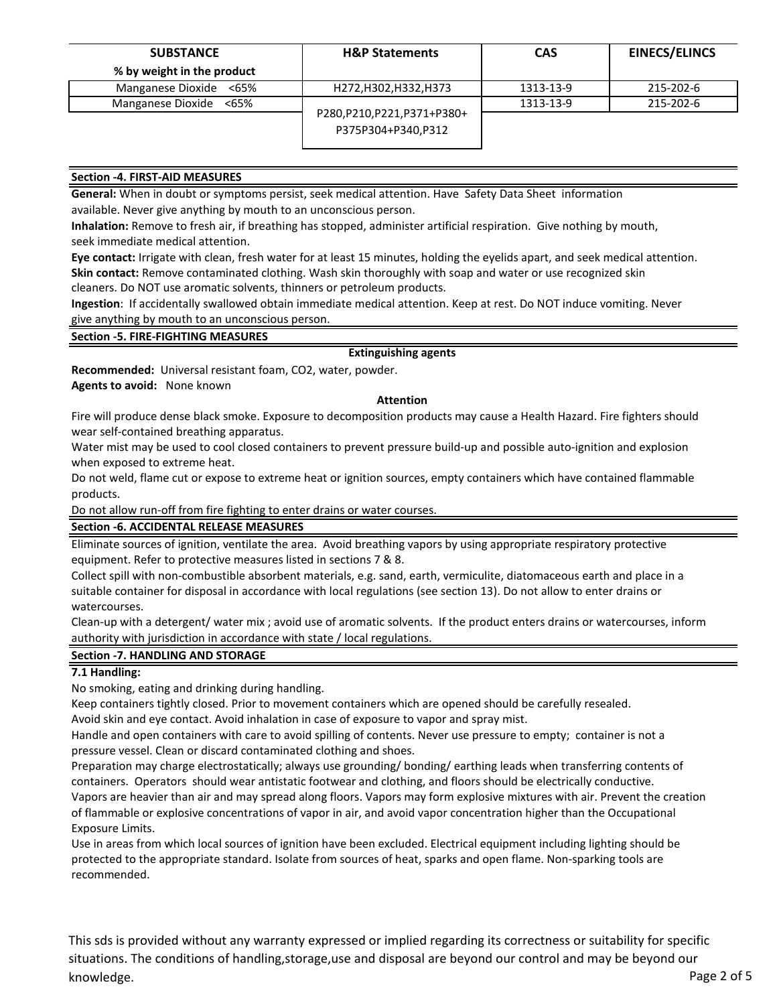| <b>SUBSTANCE</b>           | <b>H&amp;P Statements</b>                          | <b>CAS</b> | <b>EINECS/ELINCS</b> |
|----------------------------|----------------------------------------------------|------------|----------------------|
| % by weight in the product |                                                    |            |                      |
| Manganese Dioxide <65%     | H272, H302, H332, H373                             | 1313-13-9  | 215-202-6            |
| Manganese Dioxide <65%     |                                                    | 1313-13-9  | 215-202-6            |
|                            | P280, P210, P221, P371+P380+<br>P375P304+P340,P312 |            |                      |

# **Section -4. FIRST-AID MEASURES**

**General:** When in doubt or symptoms persist, seek medical attention. Have Safety Data Sheet information available. Never give anything by mouth to an unconscious person.

**Inhalation:** Remove to fresh air, if breathing has stopped, administer artificial respiration. Give nothing by mouth, seek immediate medical attention.

**Eye contact:** Irrigate with clean, fresh water for at least 15 minutes, holding the eyelids apart, and seek medical attention. **Skin contact:** Remove contaminated clothing. Wash skin thoroughly with soap and water or use recognized skin cleaners. Do NOT use aromatic solvents, thinners or petroleum products.

**Ingestion**: If accidentally swallowed obtain immediate medical attention. Keep at rest. Do NOT induce vomiting. Never give anything by mouth to an unconscious person.

**Section -5. FIRE-FIGHTING MEASURES** 

# **Extinguishing agents**

**Recommended:** Universal resistant foam, CO2, water, powder.

**Agents to avoid:** None known

#### **Attention**

Fire will produce dense black smoke. Exposure to decomposition products may cause a Health Hazard. Fire fighters should wear self-contained breathing apparatus.

Water mist may be used to cool closed containers to prevent pressure build-up and possible auto-ignition and explosion when exposed to extreme heat.

Do not weld, flame cut or expose to extreme heat or ignition sources, empty containers which have contained flammable products.

Do not allow run-off from fire fighting to enter drains or water courses.

#### **Section -6. ACCIDENTAL RELEASE MEASURES**

Eliminate sources of ignition, ventilate the area. Avoid breathing vapors by using appropriate respiratory protective equipment. Refer to protective measures listed in sections 7 & 8.

Collect spill with non-combustible absorbent materials, e.g. sand, earth, vermiculite, diatomaceous earth and place in a suitable container for disposal in accordance with local regulations (see section 13). Do not allow to enter drains or watercourses.

Clean-up with a detergent/ water mix ; avoid use of aromatic solvents. If the product enters drains or watercourses, inform authority with jurisdiction in accordance with state / local regulations.

# **Section -7. HANDLING AND STORAGE**

# **7.1 Handling:**

No smoking, eating and drinking during handling.

Keep containers tightly closed. Prior to movement containers which are opened should be carefully resealed. Avoid skin and eye contact. Avoid inhalation in case of exposure to vapor and spray mist.

Handle and open containers with care to avoid spilling of contents. Never use pressure to empty; container is not a pressure vessel. Clean or discard contaminated clothing and shoes.

Preparation may charge electrostatically; always use grounding/ bonding/ earthing leads when transferring contents of containers. Operators should wear antistatic footwear and clothing, and floors should be electrically conductive. Vapors are heavier than air and may spread along floors. Vapors may form explosive mixtures with air. Prevent the creation of flammable or explosive concentrations of vapor in air, and avoid vapor concentration higher than the Occupational Exposure Limits.

Use in areas from which local sources of ignition have been excluded. Electrical equipment including lighting should be protected to the appropriate standard. Isolate from sources of heat, sparks and open flame. Non-sparking tools are recommended.

This sds is provided without any warranty expressed or implied regarding its correctness or suitability for specific situations. The conditions of handling,storage,use and disposal are beyond our control and may be beyond our knowledge. The page 2 of 5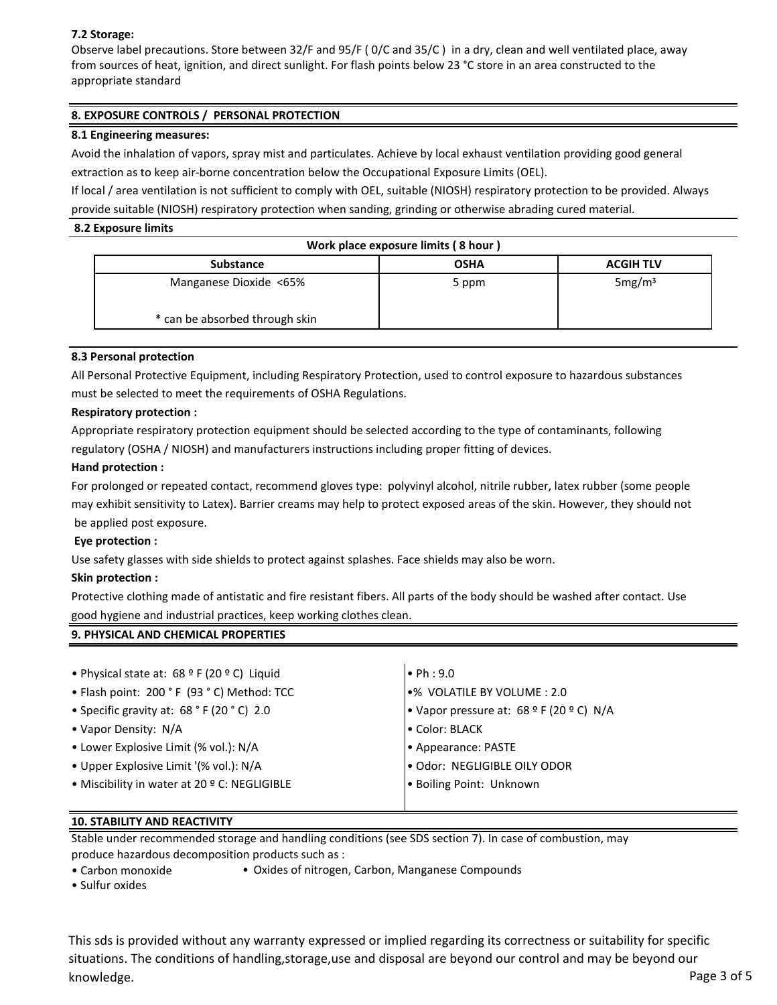# **7.2 Storage:**

Observe label precautions. Store between 32/F and 95/F ( 0/C and 35/C ) in a dry, clean and well ventilated place, away from sources of heat, ignition, and direct sunlight. For flash points below 23 °C store in an area constructed to the appropriate standard

# **8. EXPOSURE CONTROLS / PERSONAL PROTECTION**

# **8.1 Engineering measures:**

Avoid the inhalation of vapors, spray mist and particulates. Achieve by local exhaust ventilation providing good general extraction as to keep air-borne concentration below the Occupational Exposure Limits (OEL).

If local / area ventilation is not sufficient to comply with OEL, suitable (NIOSH) respiratory protection to be provided. Always provide suitable (NIOSH) respiratory protection when sanding, grinding or otherwise abrading cured material.

# **8.2 Exposure limits**

| Work place exposure limits (8 hour) |             |                    |  |  |  |
|-------------------------------------|-------------|--------------------|--|--|--|
| <b>Substance</b>                    | <b>OSHA</b> | <b>ACGIH TLV</b>   |  |  |  |
| Manganese Dioxide <65%              | 5 ppm       | 5mg/m <sup>3</sup> |  |  |  |
| * can be absorbed through skin      |             |                    |  |  |  |

# **8.3 Personal protection**

All Personal Protective Equipment, including Respiratory Protection, used to control exposure to hazardous substances must be selected to meet the requirements of OSHA Regulations.

# **Respiratory protection :**

Appropriate respiratory protection equipment should be selected according to the type of contaminants, following regulatory (OSHA / NIOSH) and manufacturers instructions including proper fitting of devices.

# **Hand protection :**

For prolonged or repeated contact, recommend gloves type: polyvinyl alcohol, nitrile rubber, latex rubber (some people may exhibit sensitivity to Latex). Barrier creams may help to protect exposed areas of the skin. However, they should not be applied post exposure.

# **Eye protection :**

Use safety glasses with side shields to protect against splashes. Face shields may also be worn.

# **Skin protection :**

Protective clothing made of antistatic and fire resistant fibers. All parts of the body should be washed after contact. Use good hygiene and industrial practices, keep working clothes clean.

# • Physical state at:  $68^{\circ}$  F (20 ° C) Liquid  $\bullet$  Ph : 9.0 • Flash point: 200 ° F (93 ° C) Method: TCC  $\bullet$  WOLATILE BY VOLUME : 2.0 • Specific gravity at: 68 ° F (20 ° C) 2.0 • Vapor pressure at: 68 º F (20 º C) N/A • Vapor Density: N/A • Color: BLACK • Lower Explosive Limit (% vol.): N/A • Appearance: PASTE • Upper Explosive Limit '(% vol.): N/A • Odor: NEGLIGIBLE OILY ODOR • Miscibility in water at 20 ° C: NEGLIGIBLE **• Boiling Point: Unknown**

# **10. STABILITY AND REACTIVITY**

**9. PHYSICAL AND CHEMICAL PROPERTIES** 

Stable under recommended storage and handling conditions (see SDS section 7). In case of combustion, may produce hazardous decomposition products such as :

• Carbon monoxide • Oxides of nitrogen, Carbon, Manganese Compounds

• Sulfur oxides

This sds is provided without any warranty expressed or implied regarding its correctness or suitability for specific situations. The conditions of handling,storage,use and disposal are beyond our control and may be beyond our knowledge. The page 3 of 5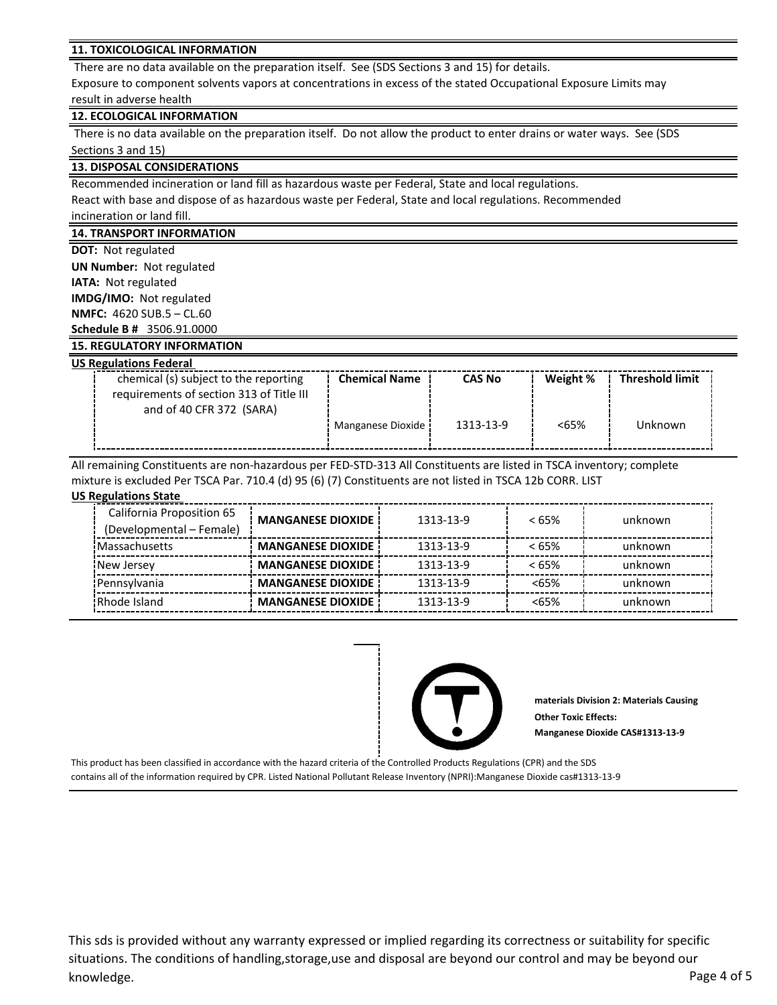#### **11. TOXICOLOGICAL INFORMATION**

There are no data available on the preparation itself. See (SDS Sections 3 and 15) for details.

Exposure to component solvents vapors at concentrations in excess of the stated Occupational Exposure Limits may result in adverse health

#### **12. ECOLOGICAL INFORMATION**

 There is no data available on the preparation itself. Do not allow the product to enter drains or water ways. See (SDS Sections 3 and 15)

#### **13. DISPOSAL CONSIDERATIONS**

Recommended incineration or land fill as hazardous waste per Federal, State and local regulations.

React with base and dispose of as hazardous waste per Federal, State and local regulations. Recommended

incineration or land fill.

#### **14. TRANSPORT INFORMATION**

**DOT:** Not regulated

**UN Number:** Not regulated **IATA:** Not regulated **IMDG/IMO:** Not regulated **NMFC:** 4620 SUB.5 – CL.60 **Schedule B #** 3506.91.0000

# **15. REGULATORY INFORMATION**

| <b>US Regulations Federal</b>            |                      |               |          |                        |
|------------------------------------------|----------------------|---------------|----------|------------------------|
| chemical (s) subject to the reporting    | <b>Chemical Name</b> | <b>CAS No</b> | Weight % | <b>Threshold limit</b> |
| requirements of section 313 of Title III |                      |               |          |                        |
| and of 40 CFR 372 (SARA)                 |                      |               |          |                        |
|                                          | Manganese Dioxide i  | 1313-13-9     | <65%     | Unknown                |
|                                          |                      |               |          |                        |

All remaining Constituents are non-hazardous per FED-STD-313 All Constituents are listed in TSCA inventory; complete mixture is excluded Per TSCA Par. 710.4 (d) 95 (6) (7) Constituents are not listed in TSCA 12b CORR. LIST

#### **US Regulations State**

| California Proposition 65 | <b>MANGANESE DIOXIDE</b> | 1313-13-9 | $< 65\%$ | unknown |  |
|---------------------------|--------------------------|-----------|----------|---------|--|
| (Developmental – Female)  |                          |           |          |         |  |
| <b>Massachusetts</b>      | <b>MANGANESE DIOXIDE</b> | 1313-13-9 | $< 65\%$ | unknown |  |
| New Jersey                | <b>MANGANESE DIOXIDE</b> | 1313-13-9 | $< 65\%$ | unknown |  |
| Pennsylvania              | <b>MANGANESE DIOXIDE</b> | 1313-13-9 | <65%     | unknown |  |
| Rhode Island              | <b>MANGANESE DIOXIDE</b> | 1313-13-9 | <65%     | unknown |  |



**materials Division 2: Materials Causing Other Toxic Effects: Manganese Dioxide CAS#1313-13-9**

This product has been classified in accordance with the hazard criteria of the Controlled Products Regulations (CPR) and the SDS contains all of the information required by CPR. Listed National Pollutant Release Inventory (NPRI):Manganese Dioxide cas#1313-13-9

This sds is provided without any warranty expressed or implied regarding its correctness or suitability for specific situations. The conditions of handling,storage,use and disposal are beyond our control and may be beyond our knowledge. The page 4 of 5